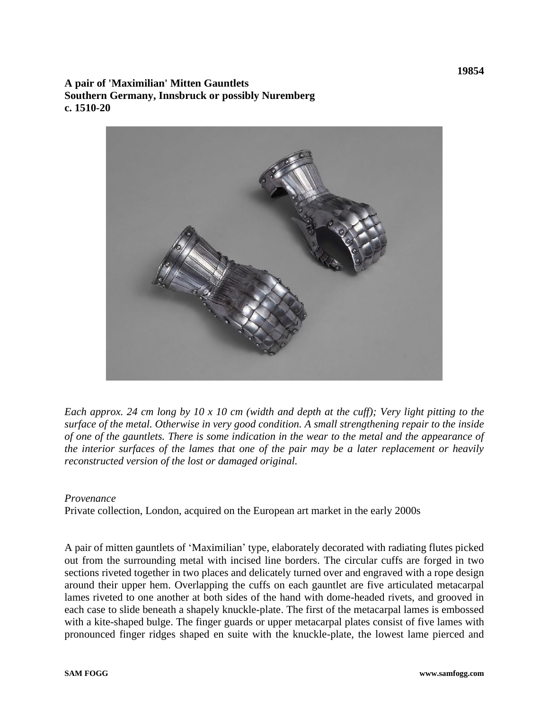**A pair of 'Maximilian' Mitten Gauntlets Southern Germany, Innsbruck or possibly Nuremberg c. 1510-20**



*Each approx. 24 cm long by 10 x 10 cm (width and depth at the cuff); Very light pitting to the surface of the metal. Otherwise in very good condition. A small strengthening repair to the inside of one of the gauntlets. There is some indication in the wear to the metal and the appearance of the interior surfaces of the lames that one of the pair may be a later replacement or heavily reconstructed version of the lost or damaged original.* 

## *Provenance*

Private collection, London, acquired on the European art market in the early 2000s

A pair of mitten gauntlets of 'Maximilian' type, elaborately decorated with radiating flutes picked out from the surrounding metal with incised line borders. The circular cuffs are forged in two sections riveted together in two places and delicately turned over and engraved with a rope design around their upper hem. Overlapping the cuffs on each gauntlet are five articulated metacarpal lames riveted to one another at both sides of the hand with dome-headed rivets, and grooved in each case to slide beneath a shapely knuckle-plate. The first of the metacarpal lames is embossed with a kite-shaped bulge. The finger guards or upper metacarpal plates consist of five lames with pronounced finger ridges shaped en suite with the knuckle-plate, the lowest lame pierced and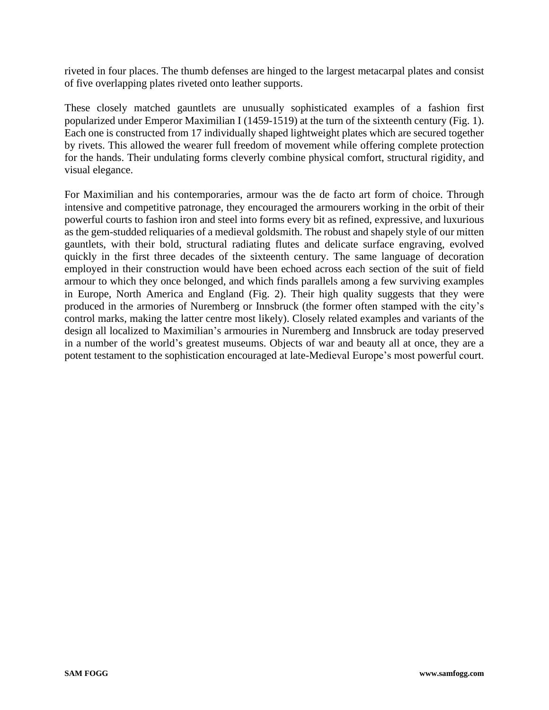riveted in four places. The thumb defenses are hinged to the largest metacarpal plates and consist of five overlapping plates riveted onto leather supports.

These closely matched gauntlets are unusually sophisticated examples of a fashion first popularized under Emperor Maximilian I (1459-1519) at the turn of the sixteenth century (Fig. 1). Each one is constructed from 17 individually shaped lightweight plates which are secured together by rivets. This allowed the wearer full freedom of movement while offering complete protection for the hands. Their undulating forms cleverly combine physical comfort, structural rigidity, and visual elegance.

For Maximilian and his contemporaries, armour was the de facto art form of choice. Through intensive and competitive patronage, they encouraged the armourers working in the orbit of their powerful courts to fashion iron and steel into forms every bit as refined, expressive, and luxurious as the gem-studded reliquaries of a medieval goldsmith. The robust and shapely style of our mitten gauntlets, with their bold, structural radiating flutes and delicate surface engraving, evolved quickly in the first three decades of the sixteenth century. The same language of decoration employed in their construction would have been echoed across each section of the suit of field armour to which they once belonged, and which finds parallels among a few surviving examples in Europe, North America and England (Fig. 2). Their high quality suggests that they were produced in the armories of Nuremberg or Innsbruck (the former often stamped with the city's control marks, making the latter centre most likely). Closely related examples and variants of the design all localized to Maximilian's armouries in Nuremberg and Innsbruck are today preserved in a number of the world's greatest museums. Objects of war and beauty all at once, they are a potent testament to the sophistication encouraged at late-Medieval Europe's most powerful court.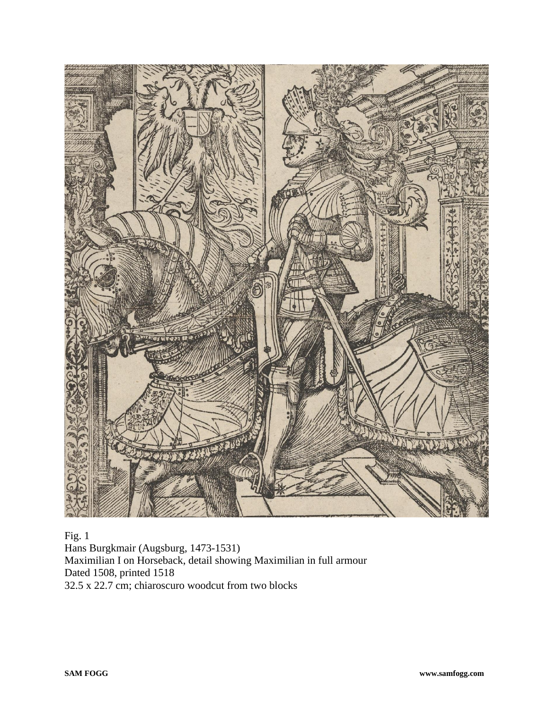

Fig. 1 Hans Burgkmair (Augsburg, 1473-1531) Maximilian I on Horseback, detail showing Maximilian in full armour Dated 1508, printed 1518 32.5 x 22.7 cm; chiaroscuro woodcut from two blocks